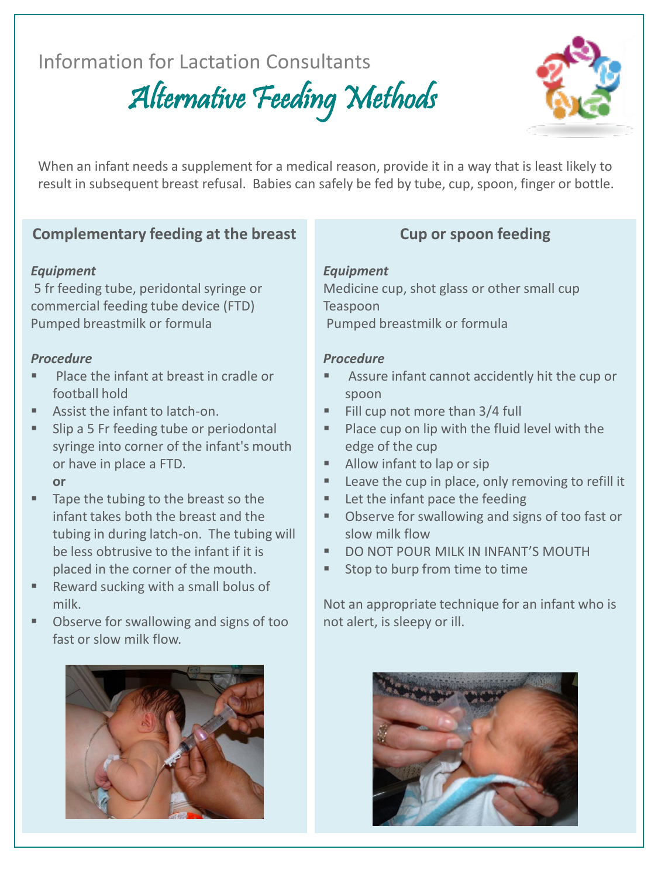# Information for Lactation Consultants

Alternative Feeding Methods



When an infant needs a supplement for a medical reason, provide it in a way that is least likely to result in subsequent breast refusal. Babies can safely be fed by tube, cup, spoon, finger or bottle.

# **Complementary feeding at the breast**

### *Equipment*

5 fr feeding tube, peridontal syringe or commercial feeding tube device (FTD) Pumped breastmilk or formula

### *Procedure*

- Place the infant at breast in cradle or football hold
- Assist the infant to latch-on.
- **Slip a 5 Fr feeding tube or periodontal** syringe into corner of the infant's mouth or have in place a FTD.

#### **or**

- Tape the tubing to the breast so the infant takes both the breast and the tubing in during latch-on. The tubing will be less obtrusive to the infant if it is placed in the corner of the mouth.
- Reward sucking with a small bolus of milk.
- **DIM** Observe for swallowing and signs of too fast or slow milk flow.



# **Cup or spoon feeding**

### *Equipment*

Medicine cup, shot glass or other small cup Teaspoon Pumped breastmilk or formula

### *Procedure*

- Assure infant cannot accidently hit the cup or spoon
- Fill cup not more than 3/4 full
- Place cup on lip with the fluid level with the edge of the cup
- Allow infant to lap or sip
- **Leave the cup in place, only removing to refill it**
- Let the infant pace the feeding
- Observe for swallowing and signs of too fast or slow milk flow
- DO NOT POUR MILK IN INFANT'S MOUTH
- **Stop to burp from time to time**

Not an appropriate technique for an infant who is not alert, is sleepy or ill.